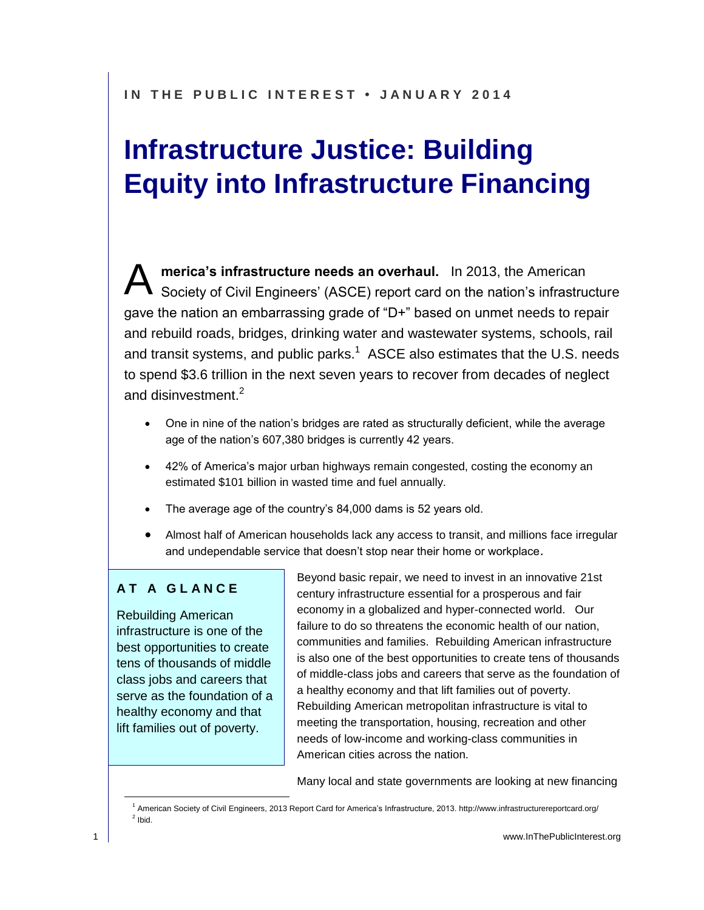# **Infrastructure Justice: Building Equity into Infrastructure Financing**

**merica's infrastructure needs an overhaul.** In 2013, the American Society of Civil Engineers' (ASCE) report card on the nation's infrastructure gave the nation an embarrassing grade of "D+" based on unmet needs to repair and rebuild roads, bridges, drinking water and wastewater systems, schools, rail and transit systems, and public parks.<sup>1</sup> ASCE also estimates that the U.S. needs to spend \$3.6 trillion in the next seven years to recover from decades of neglect and disinvestment.<sup>2</sup> A

- One in nine of the nation's bridges are rated as structurally deficient, while the average age of the nation's 607,380 bridges is currently 42 years.
- 42% of America's major urban highways remain congested, costing the economy an estimated \$101 billion in wasted time and fuel annually.
- The average age of the country's 84,000 dams is 52 years old.
- Almost half of American households lack any access to transit, and millions face irregular and undependable service that doesn't stop near their home or workplace.

#### **A T A G L A N C E**

Rebuilding American infrastructure is one of the best opportunities to create tens of thousands of middle class jobs and careers that serve as the foundation of a healthy economy and that lift families out of poverty.

Beyond basic repair, we need to invest in an innovative 21st century infrastructure essential for a prosperous and fair economy in a globalized and hyper-connected world. Our failure to do so threatens the economic health of our nation, communities and families. Rebuilding American infrastructure is also one of the best opportunities to create tens of thousands of middle-class jobs and careers that serve as the foundation of a healthy economy and that lift families out of poverty. Rebuilding American metropolitan infrastructure is vital to meeting the transportation, housing, recreation and other needs of low-income and working-class communities in American cities across the nation.

Many local and state governments are looking at new financing

<sup>&</sup>lt;sup>1</sup> American Society of Civil Engineers, 2013 Report Card for America's Infrastructure, 2013. http://www.infrastructurereportcard.org/  $<sup>2</sup>$  Ibid.</sup>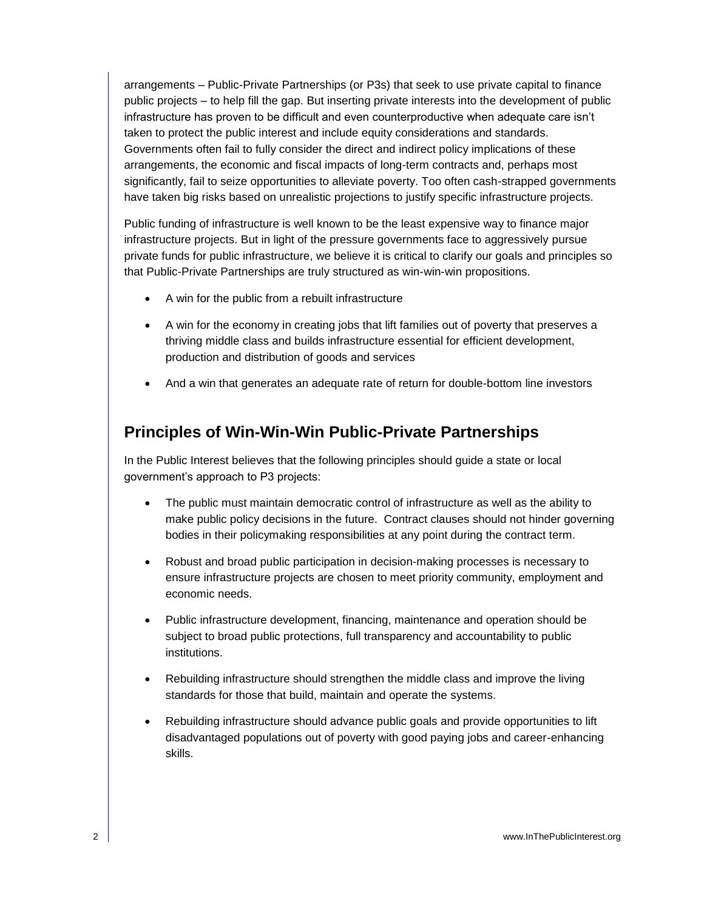arrangements – Public-Private Partnerships (or P3s) that seek to use private capital to finance public projects – to help fill the gap. But inserting private interests into the development of public infrastructure has proven to be difficult and even counterproductive when adequate care isn't taken to protect the public interest and include equity considerations and standards. Governments often fail to fully consider the direct and indirect policy implications of these arrangements, the economic and fiscal impacts of long-term contracts and, perhaps most significantly, fail to seize opportunities to alleviate poverty. Too often cash-strapped governments have taken big risks based on unrealistic projections to justify specific infrastructure projects.

Public funding of infrastructure is well known to be the least expensive way to finance major infrastructure projects. But in light of the pressure governments face to aggressively pursue private funds for public infrastructure, we believe it is critical to clarify our goals and principles so that Public-Private Partnerships are truly structured as win-win-win propositions.

- A win for the public from a rebuilt infrastructure
- A win for the economy in creating jobs that lift families out of poverty that preserves a thriving middle class and builds infrastructure essential for efficient development, production and distribution of goods and services
- And a win that generates an adequate rate of return for double-bottom line investors

#### **Principles of Win-Win-Win Public-Private Partnerships**

In the Public Interest believes that the following principles should guide a state or local government's approach to P3 projects:

- The public must maintain democratic control of infrastructure as well as the ability to make public policy decisions in the future. Contract clauses should not hinder governing bodies in their policymaking responsibilities at any point during the contract term.
- Robust and broad public participation in decision-making processes is necessary to ensure infrastructure projects are chosen to meet priority community, employment and economic needs.
- Public infrastructure development, financing, maintenance and operation should be subject to broad public protections, full transparency and accountability to public institutions.
- Rebuilding infrastructure should strengthen the middle class and improve the living standards for those that build, maintain and operate the systems.
- Rebuilding infrastructure should advance public goals and provide opportunities to lift disadvantaged populations out of poverty with good paying jobs and career-enhancing skills.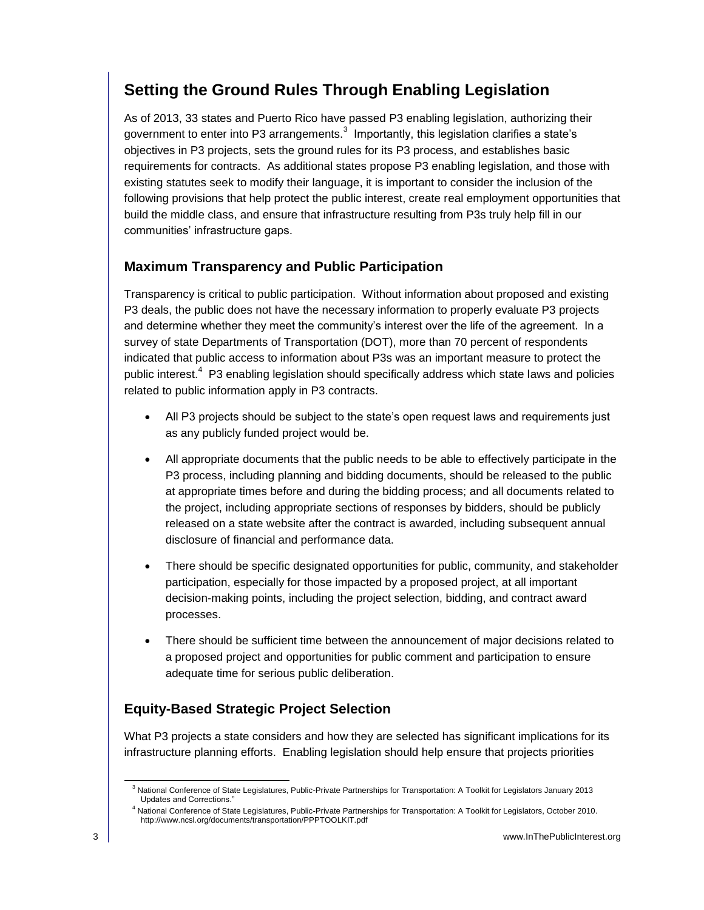### **Setting the Ground Rules Through Enabling Legislation**

As of 2013, 33 states and Puerto Rico have passed P3 enabling legislation, authorizing their government to enter into P3 arrangements.<sup>3</sup> Importantly, this legislation clarifies a state's objectives in P3 projects, sets the ground rules for its P3 process, and establishes basic requirements for contracts. As additional states propose P3 enabling legislation, and those with existing statutes seek to modify their language, it is important to consider the inclusion of the following provisions that help protect the public interest, create real employment opportunities that build the middle class, and ensure that infrastructure resulting from P3s truly help fill in our communities' infrastructure gaps.

#### **Maximum Transparency and Public Participation**

Transparency is critical to public participation. Without information about proposed and existing P3 deals, the public does not have the necessary information to properly evaluate P3 projects and determine whether they meet the community's interest over the life of the agreement. In a survey of state Departments of Transportation (DOT), more than 70 percent of respondents indicated that public access to information about P3s was an important measure to protect the public interest.<sup>4</sup> P3 enabling legislation should specifically address which state laws and policies related to public information apply in P3 contracts.

- All P3 projects should be subject to the state's open request laws and requirements just as any publicly funded project would be.
- All appropriate documents that the public needs to be able to effectively participate in the P3 process, including planning and bidding documents, should be released to the public at appropriate times before and during the bidding process; and all documents related to the project, including appropriate sections of responses by bidders, should be publicly released on a state website after the contract is awarded, including subsequent annual disclosure of financial and performance data.
- There should be specific designated opportunities for public, community, and stakeholder participation, especially for those impacted by a proposed project, at all important decision-making points, including the project selection, bidding, and contract award processes.
- There should be sufficient time between the announcement of major decisions related to a proposed project and opportunities for public comment and participation to ensure adequate time for serious public deliberation.

#### **Equity-Based Strategic Project Selection**

What P3 projects a state considers and how they are selected has significant implications for its infrastructure planning efforts. Enabling legislation should help ensure that projects priorities

<sup>&</sup>lt;sup>3</sup> National Conference of State Legislatures, Public-Private Partnerships for Transportation: A Toolkit for Legislators January 2013 Updates and Corrections."

<sup>4</sup> National Conference of State Legislatures, Public-Private Partnerships for Transportation: A Toolkit for Legislators, October 2010. http://www.ncsl.org/documents/transportation/PPPTOOLKIT.pdf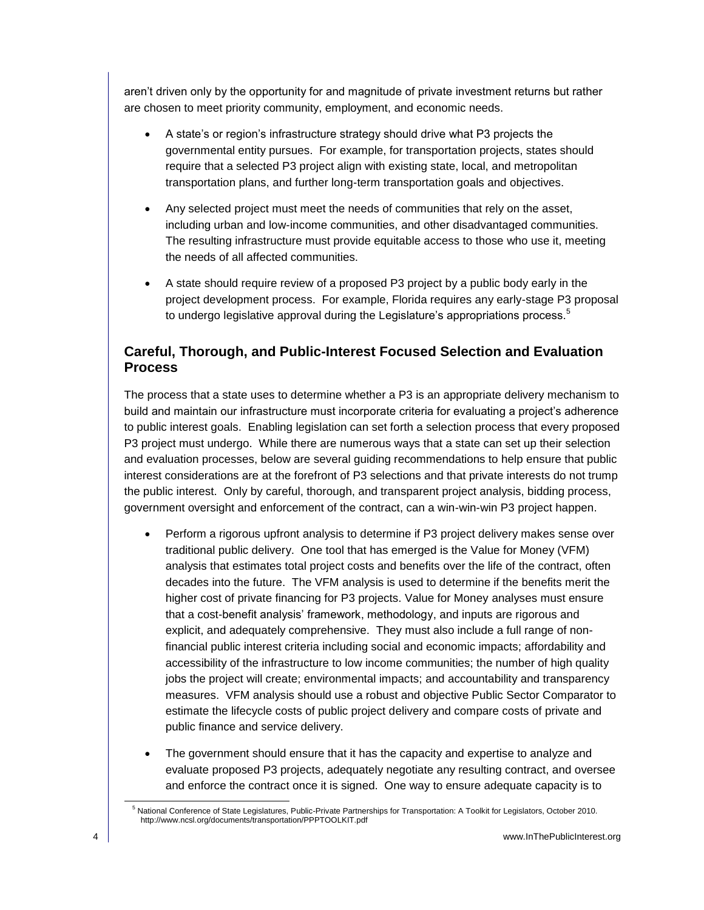aren't driven only by the opportunity for and magnitude of private investment returns but rather are chosen to meet priority community, employment, and economic needs.

- A state's or region's infrastructure strategy should drive what P3 projects the governmental entity pursues. For example, for transportation projects, states should require that a selected P3 project align with existing state, local, and metropolitan transportation plans, and further long-term transportation goals and objectives.
- Any selected project must meet the needs of communities that rely on the asset, including urban and low-income communities, and other disadvantaged communities. The resulting infrastructure must provide equitable access to those who use it, meeting the needs of all affected communities.
- A state should require review of a proposed P3 project by a public body early in the project development process. For example, Florida requires any early-stage P3 proposal to undergo legislative approval during the Legislature's appropriations process.<sup>5</sup>

#### **Careful, Thorough, and Public-Interest Focused Selection and Evaluation Process**

The process that a state uses to determine whether a P3 is an appropriate delivery mechanism to build and maintain our infrastructure must incorporate criteria for evaluating a project's adherence to public interest goals. Enabling legislation can set forth a selection process that every proposed P3 project must undergo. While there are numerous ways that a state can set up their selection and evaluation processes, below are several guiding recommendations to help ensure that public interest considerations are at the forefront of P3 selections and that private interests do not trump the public interest. Only by careful, thorough, and transparent project analysis, bidding process, government oversight and enforcement of the contract, can a win-win-win P3 project happen.

- Perform a rigorous upfront analysis to determine if P3 project delivery makes sense over traditional public delivery. One tool that has emerged is the Value for Money (VFM) analysis that estimates total project costs and benefits over the life of the contract, often decades into the future. The VFM analysis is used to determine if the benefits merit the higher cost of private financing for P3 projects. Value for Money analyses must ensure that a cost-benefit analysis' framework, methodology, and inputs are rigorous and explicit, and adequately comprehensive. They must also include a full range of nonfinancial public interest criteria including social and economic impacts; affordability and accessibility of the infrastructure to low income communities; the number of high quality jobs the project will create; environmental impacts; and accountability and transparency measures. VFM analysis should use a robust and objective Public Sector Comparator to estimate the lifecycle costs of public project delivery and compare costs of private and public finance and service delivery.
- The government should ensure that it has the capacity and expertise to analyze and evaluate proposed P3 projects, adequately negotiate any resulting contract, and oversee and enforce the contract once it is signed. One way to ensure adequate capacity is to

<sup>5</sup> National Conference of State Legislatures, Public-Private Partnerships for Transportation: A Toolkit for Legislators, October 2010. http://www.ncsl.org/documents/transportation/PPPTOOLKIT.pdf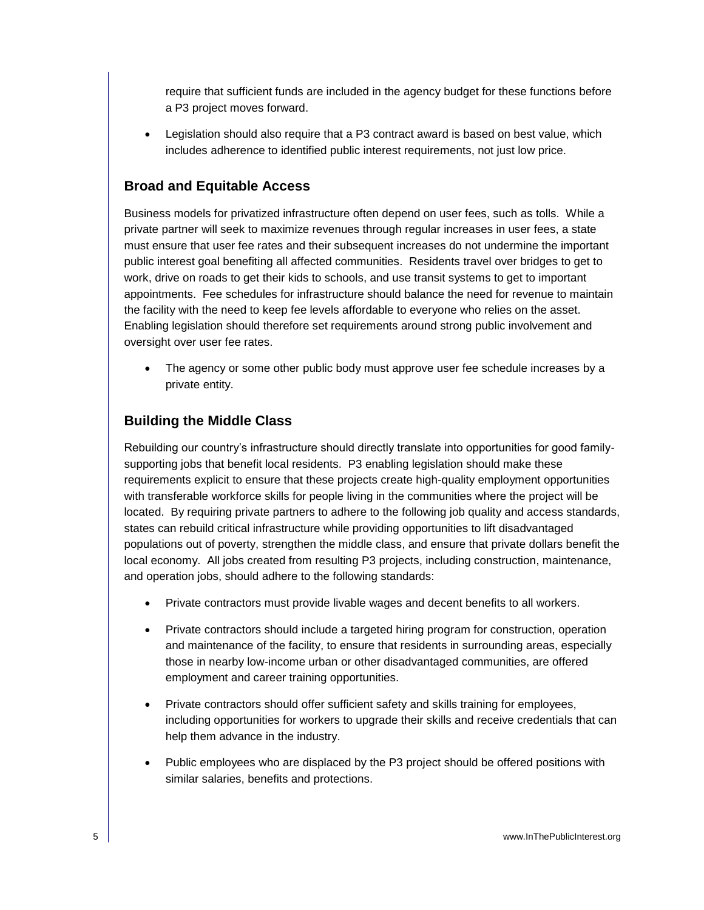require that sufficient funds are included in the agency budget for these functions before a P3 project moves forward.

 Legislation should also require that a P3 contract award is based on best value, which includes adherence to identified public interest requirements, not just low price.

#### **Broad and Equitable Access**

Business models for privatized infrastructure often depend on user fees, such as tolls. While a private partner will seek to maximize revenues through regular increases in user fees, a state must ensure that user fee rates and their subsequent increases do not undermine the important public interest goal benefiting all affected communities. Residents travel over bridges to get to work, drive on roads to get their kids to schools, and use transit systems to get to important appointments. Fee schedules for infrastructure should balance the need for revenue to maintain the facility with the need to keep fee levels affordable to everyone who relies on the asset. Enabling legislation should therefore set requirements around strong public involvement and oversight over user fee rates.

• The agency or some other public body must approve user fee schedule increases by a private entity.

#### **Building the Middle Class**

Rebuilding our country's infrastructure should directly translate into opportunities for good familysupporting jobs that benefit local residents. P3 enabling legislation should make these requirements explicit to ensure that these projects create high-quality employment opportunities with transferable workforce skills for people living in the communities where the project will be located. By requiring private partners to adhere to the following job quality and access standards, states can rebuild critical infrastructure while providing opportunities to lift disadvantaged populations out of poverty, strengthen the middle class, and ensure that private dollars benefit the local economy. All jobs created from resulting P3 projects, including construction, maintenance, and operation jobs, should adhere to the following standards:

- Private contractors must provide livable wages and decent benefits to all workers.
- Private contractors should include a targeted hiring program for construction, operation and maintenance of the facility, to ensure that residents in surrounding areas, especially those in nearby low-income urban or other disadvantaged communities, are offered employment and career training opportunities.
- Private contractors should offer sufficient safety and skills training for employees, including opportunities for workers to upgrade their skills and receive credentials that can help them advance in the industry.
- Public employees who are displaced by the P3 project should be offered positions with similar salaries, benefits and protections.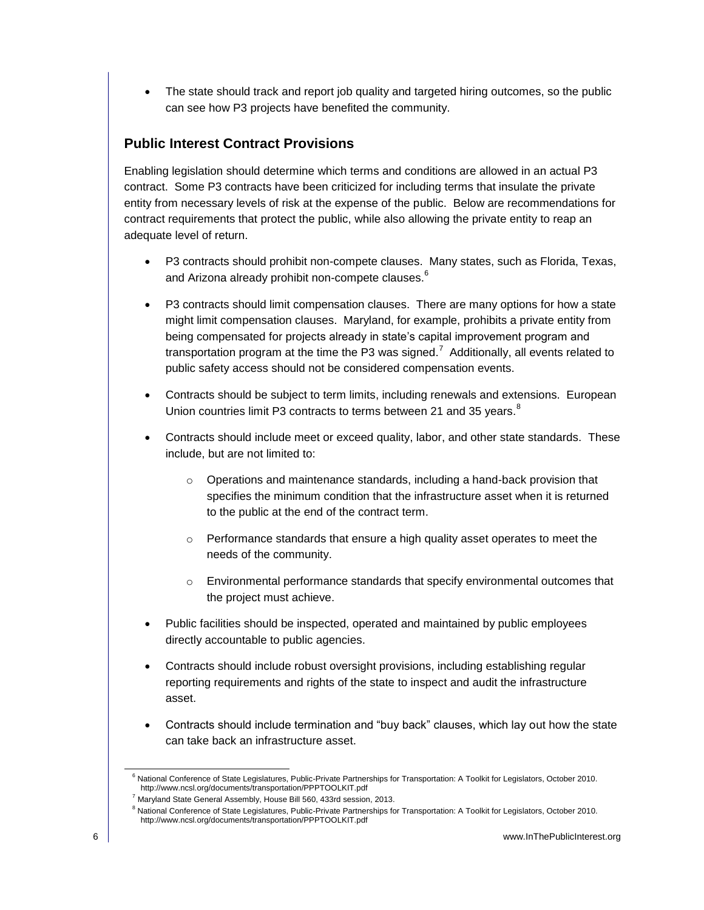• The state should track and report job quality and targeted hiring outcomes, so the public can see how P3 projects have benefited the community.

#### **Public Interest Contract Provisions**

Enabling legislation should determine which terms and conditions are allowed in an actual P3 contract. Some P3 contracts have been criticized for including terms that insulate the private entity from necessary levels of risk at the expense of the public. Below are recommendations for contract requirements that protect the public, while also allowing the private entity to reap an adequate level of return.

- P3 contracts should prohibit non-compete clauses. Many states, such as Florida, Texas, and Arizona already prohibit non-compete clauses. $^6$
- P3 contracts should limit compensation clauses. There are many options for how a state might limit compensation clauses. Maryland, for example, prohibits a private entity from being compensated for projects already in state's capital improvement program and transportation program at the time the P3 was signed.<sup>7</sup> Additionally, all events related to public safety access should not be considered compensation events.
- Contracts should be subject to term limits, including renewals and extensions. European Union countries limit P3 contracts to terms between 21 and 35 years.<sup>8</sup>
- Contracts should include meet or exceed quality, labor, and other state standards. These include, but are not limited to:
	- o Operations and maintenance standards, including a hand-back provision that specifies the minimum condition that the infrastructure asset when it is returned to the public at the end of the contract term.
	- $\circ$  Performance standards that ensure a high quality asset operates to meet the needs of the community.
	- o Environmental performance standards that specify environmental outcomes that the project must achieve.
- Public facilities should be inspected, operated and maintained by public employees directly accountable to public agencies.
- Contracts should include robust oversight provisions, including establishing regular reporting requirements and rights of the state to inspect and audit the infrastructure asset.
- Contracts should include termination and "buy back" clauses, which lay out how the state can take back an infrastructure asset.

<sup>&</sup>lt;sup>6</sup> National Conference of State Legislatures, Public-Private Partnerships for Transportation: A Toolkit for Legislators, October 2010. http://www.ncsl.org/documents/transportation/PPPTOOLKIT.pdf

<sup>7</sup> Maryland State General Assembly, House Bill 560, 433rd session, 2013.

<sup>&</sup>lt;sup>8</sup> National Conference of State Legislatures, Public-Private Partnerships for Transportation: A Toolkit for Legislators, October 2010. http://www.ncsl.org/documents/transportation/PPPTOOLKIT.pdf